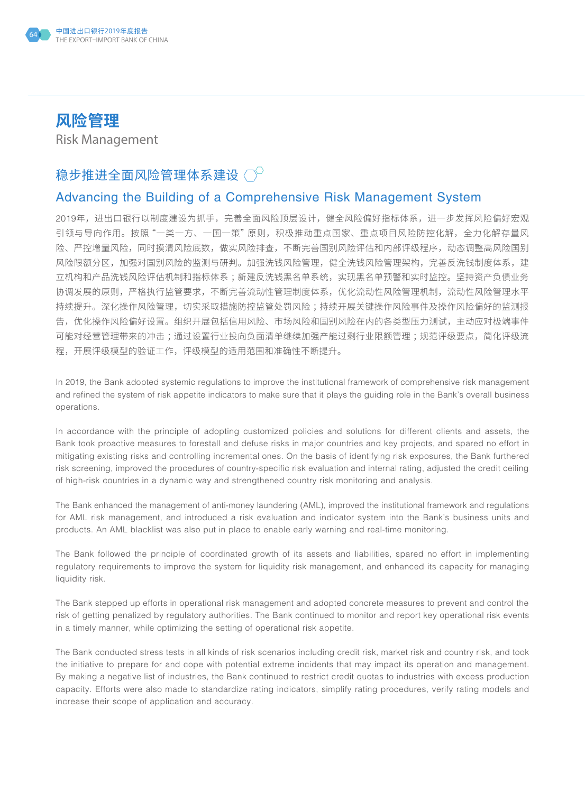

# **风险管理**

Risk Management

### 稳步推进全面风险管理体系建设 $\bigcirc^\circ$

#### Advancing the Building of a Comprehensive Risk Management System

2019年,进出口银行以制度建设为抓手,完善全面风险顶层设计,健全风险偏好指标体系,进一步发挥风险偏好宏观 引领与导向作用。按照"一类一方、一国一策"原则,积极推动重点国家、重点项目风险防控化解,全力化解存量风 险、严控增量风险,同时摸清风险底数,做实风险排查,不断完善国别风险评估和内部评级程序,动态调整高风险国别 风险限额分区,加强对国别风险的监测与研判。加强洗钱风险管理,健全洗钱风险管理架构,完善反洗钱制度体系,建 立机构和产品洗钱风险评估机制和指标体系 ;新建反洗钱黑名单系统,实现黑名单预警和实时监控。坚持资产负债业务 协调发展的原则,严格执行监管要求,不断完善流动性管理制度体系,优化流动性风险管理机制,流动性风险管理水平 持续提升。深化操作风险管理,切实采取措施防控监管处罚风险 ;持续开展关键操作风险事件及操作风险偏好的监测报 告,优化操作风险偏好设置。组织开展包括信用风险、市场风险和国别风险在内的各类型压力测试,主动应对极端事件 可能对经营管理带来的冲击;通过设置行业投向负面清单继续加强产能过剩行业限额管理;规范评级要点,简化评级流 程,开展评级模型的验证工作,评级模型的适用范围和准确性不断提升。

In 2019, the Bank adopted systemic regulations to improve the institutional framework of comprehensive risk management and refined the system of risk appetite indicators to make sure that it plays the guiding role in the Bank's overall business operations.

In accordance with the principle of adopting customized policies and solutions for different clients and assets, the Bank took proactive measures to forestall and defuse risks in major countries and key projects, and spared no effort in mitigating existing risks and controlling incremental ones. On the basis of identifying risk exposures, the Bank furthered risk screening, improved the procedures of country-specific risk evaluation and internal rating, adjusted the credit ceiling of high-risk countries in a dynamic way and strengthened country risk monitoring and analysis.

The Bank enhanced the management of anti-money laundering (AML), improved the institutional framework and regulations for AML risk management, and introduced a risk evaluation and indicator system into the Bank's business units and products. An AML blacklist was also put in place to enable early warning and real-time monitoring.

The Bank followed the principle of coordinated growth of its assets and liabilities, spared no effort in implementing regulatory requirements to improve the system for liquidity risk management, and enhanced its capacity for managing liquidity risk.

The Bank stepped up efforts in operational risk management and adopted concrete measures to prevent and control the risk of getting penalized by regulatory authorities. The Bank continued to monitor and report key operational risk events in a timely manner, while optimizing the setting of operational risk appetite.

The Bank conducted stress tests in all kinds of risk scenarios including credit risk, market risk and country risk, and took the initiative to prepare for and cope with potential extreme incidents that may impact its operation and management. By making a negative list of industries, the Bank continued to restrict credit quotas to industries with excess production capacity. Efforts were also made to standardize rating indicators, simplify rating procedures, verify rating models and increase their scope of application and accuracy.